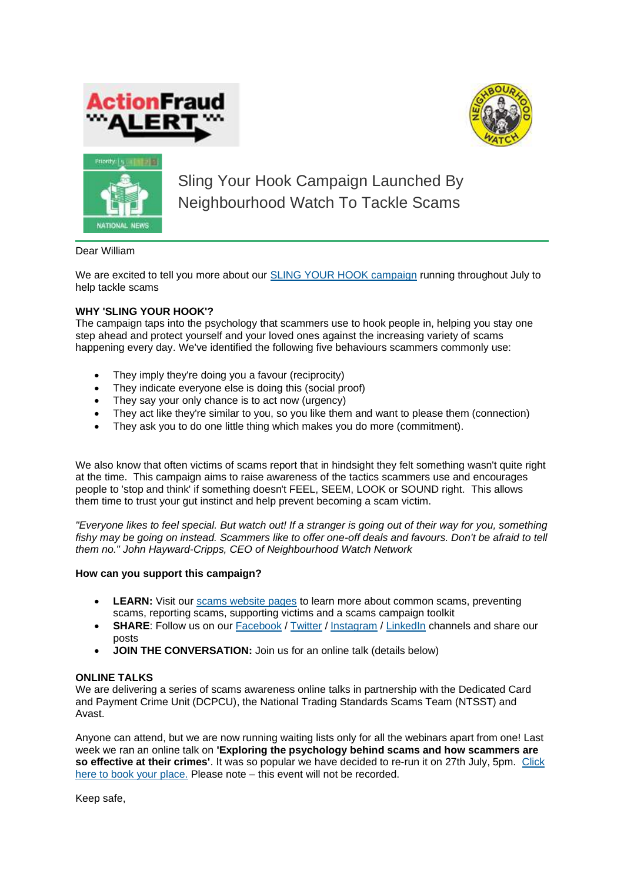





Sling Your Hook Campaign Launched By Neighbourhood Watch To Tackle Scams

Dear William

We are excited to tell you more about our **[SLING YOUR HOOK campaign](https://www.ourwatch.org.uk/protectfromfraud)** running throughout July to help tackle scams

## **WHY 'SLING YOUR HOOK'?**

The campaign taps into the psychology that scammers use to hook people in, helping you stay one step ahead and protect yourself and your loved ones against the increasing variety of scams happening every day. We've identified the following five behaviours scammers commonly use:

- They imply they're doing you a favour (reciprocity)
- They indicate everyone else is doing this (social proof)
- They say your only chance is to act now (urgency)
- They act like they're similar to you, so you like them and want to please them (connection)
- They ask you to do one little thing which makes you do more (commitment).

We also know that often victims of scams report that in hindsight they felt something wasn't quite right at the time. This campaign aims to raise awareness of the tactics scammers use and encourages people to 'stop and think' if something doesn't FEEL, SEEM, LOOK or SOUND right. This allows them time to trust your gut instinct and help prevent becoming a scam victim.

*"Everyone likes to feel special. But watch out! If a stranger is going out of their way for you, something fishy may be going on instead. Scammers like to offer one-off deals and favours. Don't be afraid to tell them no." John Hayward-Cripps, CEO of Neighbourhood Watch Network*

## **How can you support this campaign?**

- **LEARN:** Visit our [scams website pages](https://www.ourwatch.org.uk/protectfromfraud) to learn more about common scams, preventing scams, reporting scams, supporting victims and a scams campaign toolkit
- **SHARE:** Follow us on our [Facebook](http://www.facebook.com/ourwatch) / [Twitter](https://twitter.com/N_watch) / [Instagram](https://www.instagram.com/neighbourhood.watch.insta/) / [LinkedIn](https://www.linkedin.com/company/neighbourhood-watch/) channels and share our posts
- **JOIN THE CONVERSATION:** Join us for an online talk (details below)

## **ONLINE TALKS**

We are delivering a series of scams awareness online talks in partnership with the Dedicated Card and Payment Crime Unit (DCPCU), the National Trading Standards Scams Team (NTSST) and Avast.

Anyone can attend, but we are now running waiting lists only for all the webinars apart from one! Last week we ran an online talk on **'Exploring the psychology behind scams and how scammers are so effective at their crimes'**. It was so popular we have decided to re-run it on 27th July, 5pm. [Click](https://www.ourwatch.org.uk/webinars)  [here to book your place.](https://www.ourwatch.org.uk/webinars) Please note – this event will not be recorded.

Keep safe,